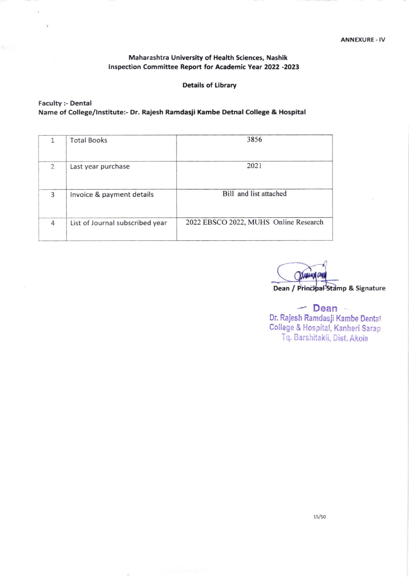### Maharashtra University of Health Sciences, Nashik lnspection Committee Report for Academic Year 2022 -2023

### Details of Library

### Faculty :- Dental Name of College/Institute:- Dr. Rajesh Ramdasji Kambe Detnal College & Hospital

|                | <b>Total Books</b>              | 3856                                  |
|----------------|---------------------------------|---------------------------------------|
| $\overline{2}$ | Last year purchase              | 2021                                  |
| 3              | Invoice & payment details       | Bill and list attached                |
| 4              | List of Journal subscribed year | 2022 EBSCO 2022, MUHS Online Research |

XXXXXXXX Dean / Principal<sup>4</sup>Stamp & Signature

 $-$  Dean  $-$ Dr. RaJesh Ramdasji Kambe Dentat College & Hospital, Kanheri Sarap Tq. Barshitakli, Dist. Akola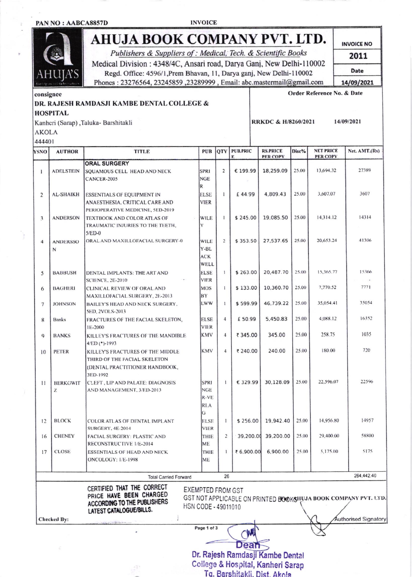IIA'S

**INVOICE** 

# AHUJA BOOK COMPANY PVT. LTD.

Publishers & Suppliers of : Medical, Tech. & Scientific Books Medical Division : 4348/4C, Ansari road, Darya Ganj, New Delhi-110002 Regd. Office: 4596/1, Prem Bhavan, 11, Darya ganj, New Delhi-110002 Phones: 23276564, 23245859, 23289999, Email: abc.mastermail@gmail.com

**INVOICE NO** 2011 Date

14/09/2021

14/09/2021

# consignee

Order Reference No. & Date

RRKDC & H/8260/2021

### DR. RAJESH RAMDASJI KAMBE DENTAL COLLEGE &

**HOSPITAL** 

Kanheri (Sarap), Taluka- Barshitakli  $NTOT$ 

| YSNO           | <b>AUTHOR</b>      | <b>TITLE</b>                                                     | <b>PUB</b>           | QTY            | <b>PUB.PRIC</b><br>F. | <b>RS.PRICE</b><br>PER COPY | Disc% | <b>NET PRICE</b><br><b>PER COPY</b>                            | Net. AMT.(Rs)        |
|----------------|--------------------|------------------------------------------------------------------|----------------------|----------------|-----------------------|-----------------------------|-------|----------------------------------------------------------------|----------------------|
|                |                    | <b>ORAL SURGERY</b>                                              |                      |                |                       |                             |       |                                                                |                      |
| 1              | <b>ADELSTEIN</b>   | SQUAMOUS CELL HEAD AND NECK                                      | <b>SPRI</b>          | $\overline{2}$ | € 199.99              | 18,259.09                   | 25.00 | 13,694.32                                                      | 27389                |
|                |                    | CANCER-2005                                                      | <b>NGE</b>           |                |                       |                             |       |                                                                |                      |
|                |                    |                                                                  | R                    |                |                       |                             |       |                                                                |                      |
| 2              | <b>AL-SHAIKH</b>   | <b>ESSENTIALS OF EQUIPMENT IN</b>                                | ELSE                 | $\mathbf{I}$   | £44.99                | 4,809.43                    | 25.00 | 3,607.07                                                       | 3607                 |
|                |                    | ANAESTHESIA, CRITICAL CARE AND                                   | <b>VIER</b>          |                |                       |                             |       |                                                                |                      |
|                |                    | PERIOPERATIVE MEDICINE, 5ED-2019                                 |                      |                |                       |                             |       |                                                                |                      |
| 3              | <b>ANDERSON</b>    | TEXTBOOK AND COLOR ATLAS OF<br>TRAUMATIC INJURIES TO THE TEETH,  | <b>WILE</b><br>Y     | $\mathbf{I}$   | \$245.00              | 19,085.50                   | 25.00 | 14,314.12                                                      | 14314                |
|                |                    | $5/ED-0$                                                         |                      |                |                       |                             |       |                                                                |                      |
| $\overline{4}$ | <b>ANDERSSO</b>    | ORAL AND MAXILLOFACIAL SURGERY-0                                 | WILE                 | $\overline{c}$ | \$353.50              | 27,537.65                   | 25.00 | 20,653.24                                                      | 41306                |
|                | N                  |                                                                  | Y-BL                 |                |                       |                             |       |                                                                |                      |
|                |                    |                                                                  | ACK                  |                |                       |                             |       |                                                                |                      |
|                |                    |                                                                  | WELL                 |                |                       |                             |       |                                                                |                      |
| 5              | <b>BABBUSH</b>     | DENTAL IMPLANTS: THE ART AND                                     | <b>ELSE</b>          | $\mathbf{1}$   | \$263.00              | 20,487.70                   | 25.00 | 15,365.77                                                      | 15366                |
|                |                    | <b>SCIENCE, 2E-2010</b>                                          | <b>VIER</b>          |                |                       |                             |       |                                                                |                      |
| 6              | <b>BAGHERI</b>     | <b>CLINICAL REVIEW OF ORAL AND</b>                               | <b>MOS</b>           | $\mathbf{I}$   | \$133.00              | 10,360.70                   | 25.00 | 7,770.52                                                       | 7771                 |
|                |                    | MAXILLOFACIAL SURGERY, 2E-2013                                   | BY<br><b>LWW</b>     | $\mathbf{1}$   | \$599.99              | 46,739.22                   | 25.00 | 35,054.41                                                      | 35054                |
| $\overline{7}$ | <b>JOHNSON</b>     | <b>BAILEY'S HEAD AND NECK SURGERY.</b><br><b>5ED, 2VOLS-2013</b> |                      |                |                       |                             |       |                                                                |                      |
| 8              | <b>Banks</b>       | FRACTURES OF THE FACIAL SKELETON,                                | <b>ELSE</b>          | $\overline{4}$ | £50.99                | 5,450.83                    | 25.00 | 4,088.12                                                       | 16352                |
|                |                    | IE-2000                                                          | <b>VIER</b>          |                |                       |                             |       |                                                                |                      |
| $\mathbf Q$    | <b>BANKS</b>       | KILLEY'S FRACTURES OF THE MANDIBLE                               | <b>KMV</b>           | 4              | ₹ 345.00              | 345.00                      | 25.00 | 258.75                                                         | 1035                 |
|                |                    | $4/ED$ (*)-1993                                                  |                      |                |                       |                             |       |                                                                |                      |
| 10             | PETER              | KILLEY'S FRACTURES OF THE MIDDLE                                 | <b>KMV</b>           | $\overline{4}$ | ₹ 240.00              | 240.00                      | 25.00 | 180.00                                                         | 720                  |
|                |                    | THIRD OF THE FACIAL SKELETON                                     |                      |                |                       |                             |       |                                                                |                      |
|                |                    | (DENTAL PRACTITIONER HANDBOOK,                                   |                      |                |                       |                             |       |                                                                |                      |
|                |                    | 3ED-1992                                                         |                      |                |                       |                             |       |                                                                |                      |
| Ħ              | <b>BERKOWIT</b>    | CLEFT, LIP AND PALATE: DIAGNOSIS                                 | <b>SPRI</b>          | $\mathbf{I}$   | € 329.99              | 30,128.09                   | 25.00 | 22,596.07                                                      | 22596                |
|                | Z                  | AND MANAGEMENT, 3/ED-2013                                        | <b>NGE</b><br>$R-VE$ |                |                       |                             |       |                                                                |                      |
|                |                    |                                                                  | <b>RLA</b>           |                |                       |                             |       |                                                                |                      |
|                |                    |                                                                  | G                    |                |                       |                             |       |                                                                |                      |
| 12             | <b>BLOCK</b>       | COLOR ATLAS OF DENTAL IMPLANT                                    | <b>ELSE</b>          | 1              | \$256.00              | 19,942.40                   | 25.00 | 14,956.80                                                      | 14957                |
|                |                    | <b>SURGERY, 4E-2014</b>                                          | <b>VIER</b>          |                |                       |                             |       |                                                                |                      |
| 16             | <b>CHENEY</b>      | <b>FACIAL SURGERY: PLASTIC AND</b>                               | THIE                 | $\overline{2}$ |                       | 39,200.00 39,200.00         | 25.00 | 29,400.00                                                      | 58800                |
|                |                    | RECONSTRUCTIVE 1/E-2014                                          | ME                   |                |                       |                             |       |                                                                |                      |
| 17             | <b>CLOSE</b>       | ESSENTIALS OF HEAD AND NECK                                      | THIE                 |                | ₹ 6,900.00            | 6,900.00                    | 25.00 | 5,175.00                                                       | 5175                 |
|                |                    | ONCOLOGY: 1/E-1998                                               | ME                   |                |                       |                             |       |                                                                |                      |
|                |                    | <b>Total Carried Forward</b>                                     |                      | 26             |                       |                             |       |                                                                | 264,442.40           |
|                |                    | CERTIFIED THAT THE CORRECT                                       |                      |                |                       |                             |       |                                                                |                      |
|                |                    | PRICE HAVE BEEN CHARGED                                          | EXEMPTED FROM GST    |                |                       |                             |       |                                                                |                      |
|                |                    | ACCORDING TO THE PUBLISHERS                                      | HSN CODE - 49011010  |                |                       |                             |       | GST NOT APPLICABLE ON PRINTED BOOKSHUJA BOOK COMPANY PVT. UTD. |                      |
|                |                    | LATEST CATALOGUE/BILLS.                                          |                      |                |                       |                             |       |                                                                |                      |
|                | <b>Checked By:</b> |                                                                  |                      |                |                       |                             |       |                                                                | Authorised Signatory |
|                |                    |                                                                  | Page 1 of 3          |                |                       |                             |       |                                                                |                      |

Dr. Rajesh Ramdasji Kambe Dental College & Hospital, Kanheri Sarap

Tg. Barshitakli, Dist. Akola